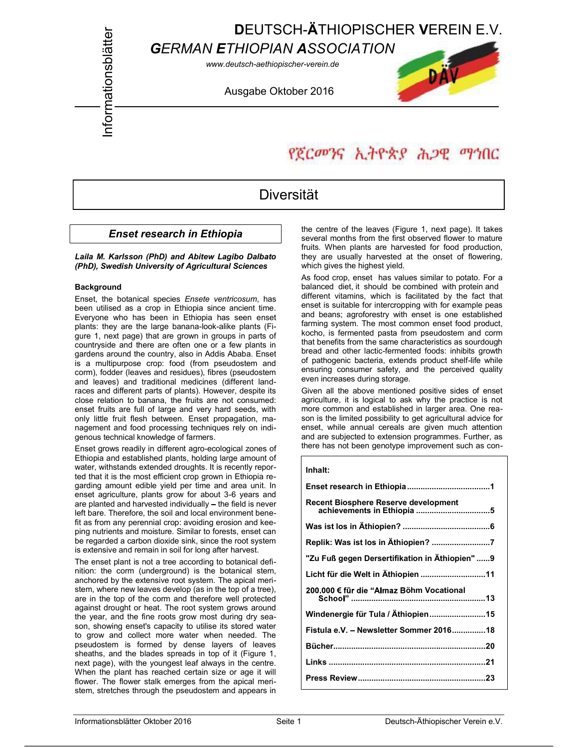## DEUTSCH-ÄTHIOPISCHER VEREIN E.V.

**GERMAN ETHIOPIAN ASSOCIATION**<br>
WWW.deutsch-aethiopischer-verein.de<br>
Ausgabe Oktober 2016

www.deutsch-aethiopischer-verein.de



# የጀርመንና ኢትዮጵያ ሕጋዊ ማኅበር

### Diversität

#### Enset research in Ethiopia

Laila M. Karlsson (PhD) and Abitew Lagibo Dalbato (PhD), Swedish University of Agricultural Sciences

#### **Background**

Enset, the botanical species Ensete ventricosum, has been utilised as a crop in Ethiopia since ancient time. Everyone who has been in Ethiopia has seen enset plants: they are the large banana-look-alike plants (Figure 1, next page) that are grown in groups in parts of countryside and there are often one or a few plants in gardens around the country, also in Addis Ababa. Enset is a multipurpose crop: food (from pseudostem and corm), fodder (leaves and residues), fibres (pseudostem and leaves) and traditional medicines (different landraces and different parts of plants). However, despite its close relation to banana, the fruits are not consumed: enset fruits are full of large and very hard seeds, with only little fruit flesh between. Enset propagation, management and food processing techniques rely on indigenous technical knowledge of farmers.

Enset grows readily in different agro-ecological zones of Ethiopia and established plants, holding large amount of water, withstands extended droughts. It is recently reported that it is the most efficient crop grown in Ethiopia regarding amount edible yield per time and area unit. In enset agriculture, plants grow for about 3-6 years and are planted and harvested individually - the field is never left bare. Therefore, the soil and local environment benefit as from any perennial crop: avoiding erosion and keeping nutrients and moisture. Similar to forests, enset can be regarded a carbon dioxide sink, since the root system is extensive and remain in soil for long after harvest.

The enset plant is not a tree according to botanical definition: the corm (underground) is the botanical stem, anchored by the extensive root system. The apical meristem, where new leaves develop (as in the top of a tree), are in the top of the corm and therefore well protected against drought or heat. The root system grows around the year, and the fine roots grow most during dry season, showing enset's capacity to utilise its stored water to grow and collect more water when needed. The pseudostem is formed by dense layers of leaves sheaths, and the blades spreads in top of it (Figure 1, next page), with the youngest leaf always in the centre. When the plant has reached certain size or age it will flower. The flower stalk emerges from the apical meristem, stretches through the pseudostem and appears in the centre of the leaves (Figure 1, next page). It takes several months from the first observed flower to mature fruits. When plants are harvested for food production, they are usually harvested at the onset of flowering, which gives the highest yield.

As food crop, enset has values similar to potato. For a balanced diet, it should be combined with protein and different vitamins, which is facilitated by the fact that enset is suitable for intercropping with for example peas and beans; agroforestry with enset is one established farming system. The most common enset food product, kocho, is fermented pasta from pseudostem and corm that benefits from the same characteristics as sourdough bread and other lactic-fermented foods: inhibits growth of pathogenic bacteria, extends product shelf-life while ensuring consumer safety, and the perceived quality even increases during storage.

Given all the above mentioned positive sides of enset agriculture, it is logical to ask why the practice is not more common and established in larger area. One reason is the limited possibility to get agricultural advice for enset, while annual cereals are given much attention and are subjected to extension programmes. Further, as there has not been genotype improvement such as con-

#### Inhalt: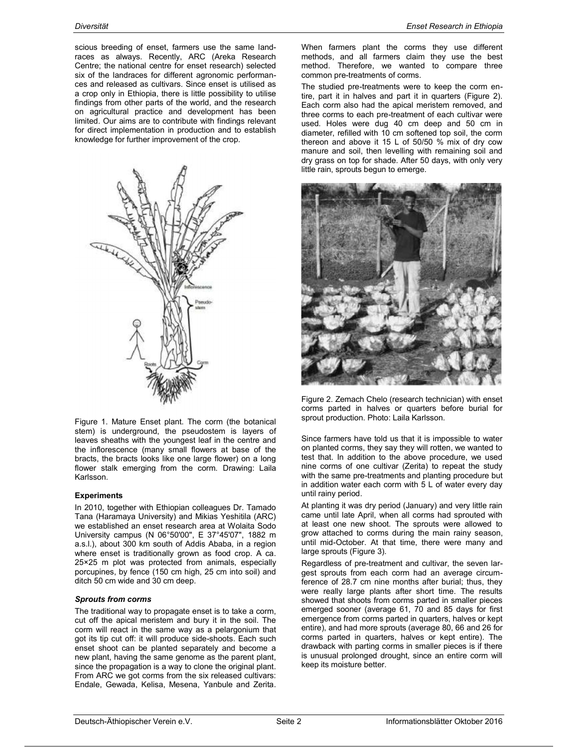scious breeding of enset, farmers use the same landraces as always. Recently, ARC (Areka Research Centre; the national centre for enset research) selected six of the landraces for different agronomic performances and released as cultivars. Since enset is utilised as a crop only in Ethiopia, there is little possibility to utilise findings from other parts of the world, and the research on agricultural practice and development has been limited. Our aims are to contribute with findings relevant for direct implementation in production and to establish knowledge for further improvement of the crop.



Figure 1. Mature Enset plant. The corm (the botanical stem) is underground, the pseudostem is layers of leaves sheaths with the youngest leaf in the centre and the inflorescence (many small flowers at base of the bracts, the bracts looks like one large flower) on a long flower stalk emerging from the corm. Drawing: Laila Karlsson.

#### **Experiments**

In 2010, together with Ethiopian colleagues Dr. Tamado Tana (Haramaya University) and Mikias Yeshitila (ARC) we established an enset research area at Wolaita Sodo University campus (N 06°50'00'', E 37°45'07'', 1882 m a.s.l.), about 300 km south of Addis Ababa, in a region where enset is traditionally grown as food crop. A ca. 25×25 m plot was protected from animals, especially porcupines, by fence (150 cm high, 25 cm into soil) and ditch 50 cm wide and 30 cm deep.

#### Sprouts from corms

The traditional way to propagate enset is to take a corm, cut off the apical meristem and bury it in the soil. The corm will react in the same way as a pelargonium that got its tip cut off: it will produce side-shoots. Each such enset shoot can be planted separately and become a new plant, having the same genome as the parent plant, since the propagation is a way to clone the original plant. From ARC we got corms from the six released cultivars: Endale, Gewada, Kelisa, Mesena, Yanbule and Zerita.

When farmers plant the corms they use different methods, and all farmers claim they use the best method. Therefore, we wanted to compare three common pre-treatments of corms.

The studied pre-treatments were to keep the corm entire, part it in halves and part it in quarters (Figure 2). Each corm also had the apical meristem removed, and three corms to each pre-treatment of each cultivar were used. Holes were dug 40 cm deep and 50 cm in diameter, refilled with 10 cm softened top soil, the corm thereon and above it 15 L of 50/50 % mix of dry cow manure and soil, then levelling with remaining soil and dry grass on top for shade. After 50 days, with only very little rain, sprouts begun to emerge.



Figure 2. Zemach Chelo (research technician) with enset corms parted in halves or quarters before burial for sprout production. Photo: Laila Karlsson.

Since farmers have told us that it is impossible to water on planted corms, they say they will rotten, we wanted to test that. In addition to the above procedure, we used nine corms of one cultivar (Zerita) to repeat the study with the same pre-treatments and planting procedure but in addition water each corm with 5 L of water every day until rainy period.

At planting it was dry period (January) and very little rain came until late April, when all corms had sprouted with at least one new shoot. The sprouts were allowed to grow attached to corms during the main rainy season, until mid-October. At that time, there were many and large sprouts (Figure 3).

Regardless of pre-treatment and cultivar, the seven largest sprouts from each corm had an average circumference of 28.7 cm nine months after burial; thus, they were really large plants after short time. The results showed that shoots from corms parted in smaller pieces emerged sooner (average 61, 70 and 85 days for first emergence from corms parted in quarters, halves or kept entire), and had more sprouts (average 80, 66 and 26 for corms parted in quarters, halves or kept entire). The drawback with parting corms in smaller pieces is if there is unusual prolonged drought, since an entire corm will keep its moisture better.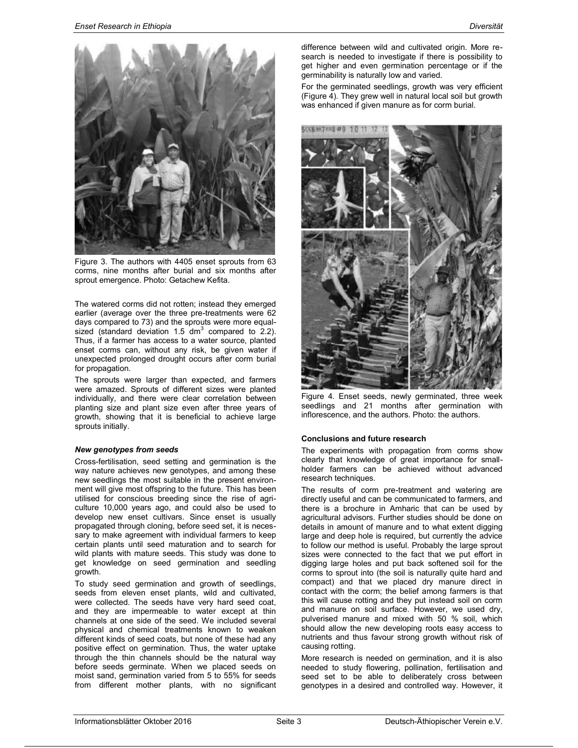

Figure 3. The authors with 4405 enset sprouts from 63 corms, nine months after burial and six months after sprout emergence. Photo: Getachew Kefita.

The watered corms did not rotten; instead they emerged earlier (average over the three pre-treatments were 62 days compared to 73) and the sprouts were more equalsized (standard deviation 1.5 dm<sup>3</sup> compared to 2.2). Thus, if a farmer has access to a water source, planted enset corms can, without any risk, be given water if unexpected prolonged drought occurs after corm burial for propagation.

The sprouts were larger than expected, and farmers were amazed. Sprouts of different sizes were planted individually, and there were clear correlation between planting size and plant size even after three years of growth, showing that it is beneficial to achieve large sprouts initially.

#### New genotypes from seeds

Cross-fertilisation, seed setting and germination is the way nature achieves new genotypes, and among these new seedlings the most suitable in the present environment will give most offspring to the future. This has been utilised for conscious breeding since the rise of agriculture 10,000 years ago, and could also be used to develop new enset cultivars. Since enset is usually propagated through cloning, before seed set, it is necessary to make agreement with individual farmers to keep certain plants until seed maturation and to search for wild plants with mature seeds. This study was done to get knowledge on seed germination and seedling growth.

To study seed germination and growth of seedlings, seeds from eleven enset plants, wild and cultivated, were collected. The seeds have very hard seed coat, and they are impermeable to water except at thin channels at one side of the seed. We included several physical and chemical treatments known to weaken different kinds of seed coats, but none of these had any positive effect on germination. Thus, the water uptake through the thin channels should be the natural way before seeds germinate. When we placed seeds on moist sand, germination varied from 5 to 55% for seeds from different mother plants, with no significant

difference between wild and cultivated origin. More research is needed to investigate if there is possibility to get higher and even germination percentage or if the germinability is naturally low and varied.

For the germinated seedlings, growth was very efficient (Figure 4). They grew well in natural local soil but growth was enhanced if given manure as for corm burial.



Figure 4. Enset seeds, newly germinated, three week seedlings and 21 months after germination with inflorescence, and the authors. Photo: the authors.

#### Conclusions and future research

The experiments with propagation from corms show clearly that knowledge of great importance for smallholder farmers can be achieved without advanced research techniques.

The results of corm pre-treatment and watering are directly useful and can be communicated to farmers, and there is a brochure in Amharic that can be used by agricultural advisors. Further studies should be done on details in amount of manure and to what extent digging large and deep hole is required, but currently the advice to follow our method is useful. Probably the large sprout sizes were connected to the fact that we put effort in digging large holes and put back softened soil for the corms to sprout into (the soil is naturally quite hard and compact) and that we placed dry manure direct in contact with the corm; the belief among farmers is that this will cause rotting and they put instead soil on corm and manure on soil surface. However, we used dry, pulverised manure and mixed with 50 % soil, which should allow the new developing roots easy access to nutrients and thus favour strong growth without risk of causing rotting.

More research is needed on germination, and it is also needed to study flowering, pollination, fertilisation and seed set to be able to deliberately cross between genotypes in a desired and controlled way. However, it